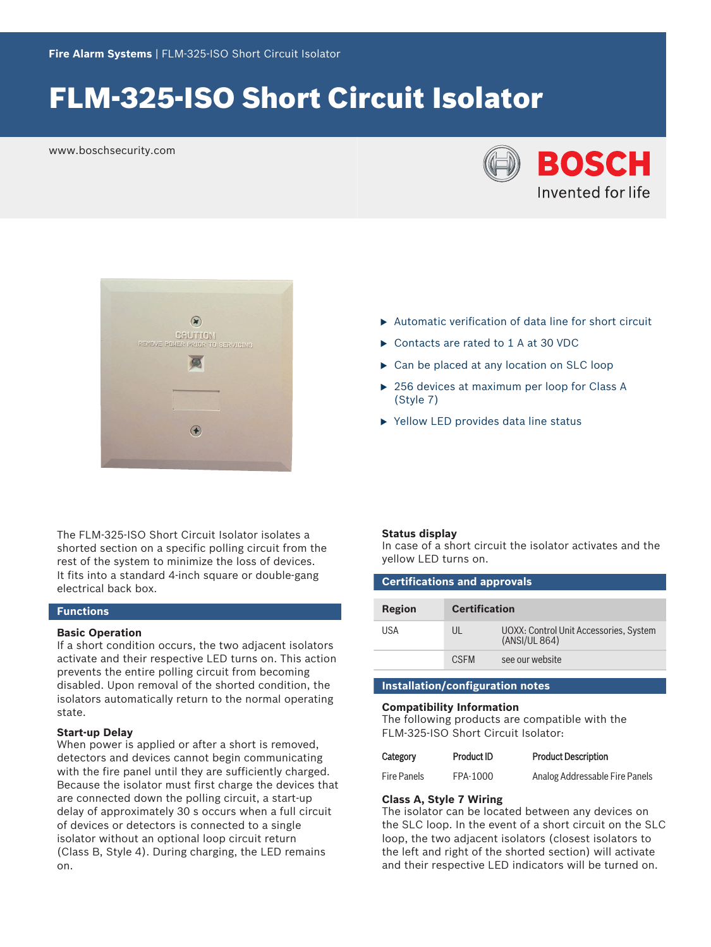# FLM‑325‑ISO Short Circuit Isolator

www.boschsecurity.com





The FLM‑325‑ISO Short Circuit Isolator isolates a shorted section on a specific polling circuit from the rest of the system to minimize the loss of devices. It fits into a standard 4-inch square or double‑gang electrical back box.

### **Functions**

#### **Basic Operation**

If a short condition occurs, the two adjacent isolators activate and their respective LED turns on. This action prevents the entire polling circuit from becoming disabled. Upon removal of the shorted condition, the isolators automatically return to the normal operating state.

### **Start-up Delay**

When power is applied or after a short is removed, detectors and devices cannot begin communicating with the fire panel until they are sufficiently charged. Because the isolator must first charge the devices that are connected down the polling circuit, a start-up delay of approximately 30 s occurs when a full circuit of devices or detectors is connected to a single isolator without an optional loop circuit return (Class B, Style 4). During charging, the LED remains on.

- $\blacktriangleright$  Automatic verification of data line for short circuit
- ▶ Contacts are rated to 1 A at 30 VDC
- $\triangleright$  Can be placed at any location on SLC loop
- $\triangleright$  256 devices at maximum per loop for Class A (Style 7)
- $\blacktriangleright$  Yellow LED provides data line status

#### **Status display**

In case of a short circuit the isolator activates and the yellow LED turns on.

| <b>Certifications and approvals</b> |                      |                                                         |  |  |
|-------------------------------------|----------------------|---------------------------------------------------------|--|--|
| <b>Region</b>                       | <b>Certification</b> |                                                         |  |  |
| USA                                 | UL                   | UOXX: Control Unit Accessories, System<br>(ANSI/UL 864) |  |  |
|                                     | <b>CSEM</b>          | see our website                                         |  |  |

### **Installation/configuration notes**

#### **Compatibility Information**

The following products are compatible with the FLM‑325‑ISO Short Circuit Isolator:

| Category           | <b>Product ID</b> | <b>Product Description</b>     |
|--------------------|-------------------|--------------------------------|
| <b>Fire Panels</b> | FPA-1000          | Analog Addressable Fire Panels |

### **Class A, Style 7 Wiring**

The isolator can be located between any devices on the SLC loop. In the event of a short circuit on the SLC loop, the two adjacent isolators (closest isolators to the left and right of the shorted section) will activate and their respective LED indicators will be turned on.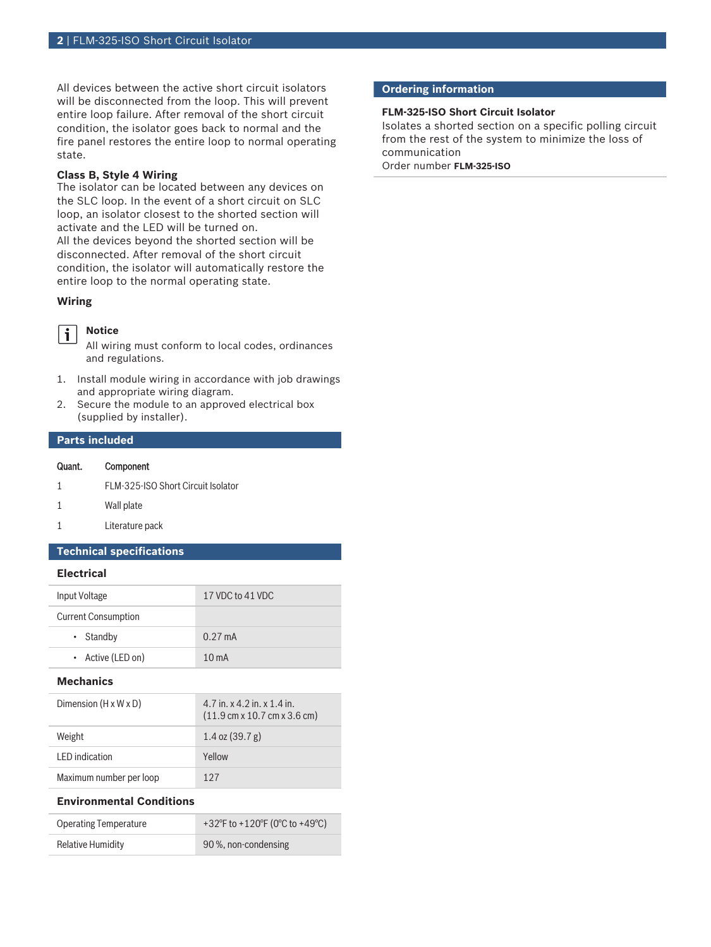All devices between the active short circuit isolators will be disconnected from the loop. This will prevent entire loop failure. After removal of the short circuit condition, the isolator goes back to normal and the fire panel restores the entire loop to normal operating state.

#### **Class B, Style 4 Wiring**

The isolator can be located between any devices on the SLC loop. In the event of a short circuit on SLC loop, an isolator closest to the shorted section will activate and the LED will be turned on.

All the devices beyond the shorted section will be disconnected. After removal of the short circuit condition, the isolator will automatically restore the entire loop to the normal operating state.

#### **Wiring**

#### **Notice**  $\mathbf i$

All wiring must conform to local codes, ordinances and regulations.

- 1. Install module wiring in accordance with job drawings and appropriate wiring diagram.
- 2. Secure the module to an approved electrical box (supplied by installer).

## **Parts included**

#### Quant. Component

- 1 FLM‑325‑ISO Short Circuit Isolator
- 1 Wall plate
- 1 Literature pack

## **Technical specifications**

#### **Electrical**

| Input Voltage              | 17 VDC to 41 VDC  |
|----------------------------|-------------------|
| <b>Current Consumption</b> |                   |
| $\cdot$ Standby            | $0.27 \text{ mA}$ |
| • Active (LED on)          | $10m$ A           |

#### **Mechanics**

| Dimension $(H \times W \times D)$ | $4.7$ in. x $4.2$ in. x $1.4$ in.<br>$(11.9 \text{ cm} \times 10.7 \text{ cm} \times 3.6 \text{ cm})$ |
|-----------------------------------|-------------------------------------------------------------------------------------------------------|
| Weight                            | $1.4$ oz $(39.7 g)$                                                                                   |
| LED indication                    | Yellow                                                                                                |
| Maximum number per loop           | 127                                                                                                   |

#### **Environmental Conditions**

| <b>Operating Temperature</b> | +32°F to +120°F (0°C to +49°C) |
|------------------------------|--------------------------------|
| Relative Humidity            | 90 %, non-condensing           |

#### **Ordering information**

#### **FLM‑325‑ISO Short Circuit Isolator**

Isolates a shorted section on a specific polling circuit from the rest of the system to minimize the loss of communication

Order number **FLM-325-ISO**